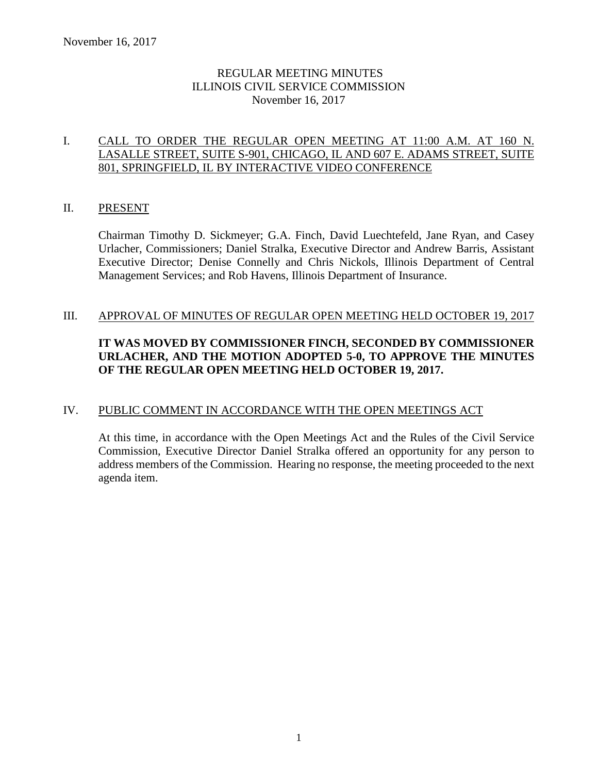## REGULAR MEETING MINUTES ILLINOIS CIVIL SERVICE COMMISSION November 16, 2017

## I. CALL TO ORDER THE REGULAR OPEN MEETING AT 11:00 A.M. AT 160 N. LASALLE STREET, SUITE S-901, CHICAGO, IL AND 607 E. ADAMS STREET, SUITE 801, SPRINGFIELD, IL BY INTERACTIVE VIDEO CONFERENCE

## II. PRESENT

Chairman Timothy D. Sickmeyer; G.A. Finch, David Luechtefeld, Jane Ryan, and Casey Urlacher, Commissioners; Daniel Stralka, Executive Director and Andrew Barris, Assistant Executive Director; Denise Connelly and Chris Nickols, Illinois Department of Central Management Services; and Rob Havens, Illinois Department of Insurance.

#### III. APPROVAL OF MINUTES OF REGULAR OPEN MEETING HELD OCTOBER 19, 2017

## **IT WAS MOVED BY COMMISSIONER FINCH, SECONDED BY COMMISSIONER URLACHER, AND THE MOTION ADOPTED 5-0, TO APPROVE THE MINUTES OF THE REGULAR OPEN MEETING HELD OCTOBER 19, 2017.**

## IV. PUBLIC COMMENT IN ACCORDANCE WITH THE OPEN MEETINGS ACT

At this time, in accordance with the Open Meetings Act and the Rules of the Civil Service Commission, Executive Director Daniel Stralka offered an opportunity for any person to address members of the Commission. Hearing no response, the meeting proceeded to the next agenda item.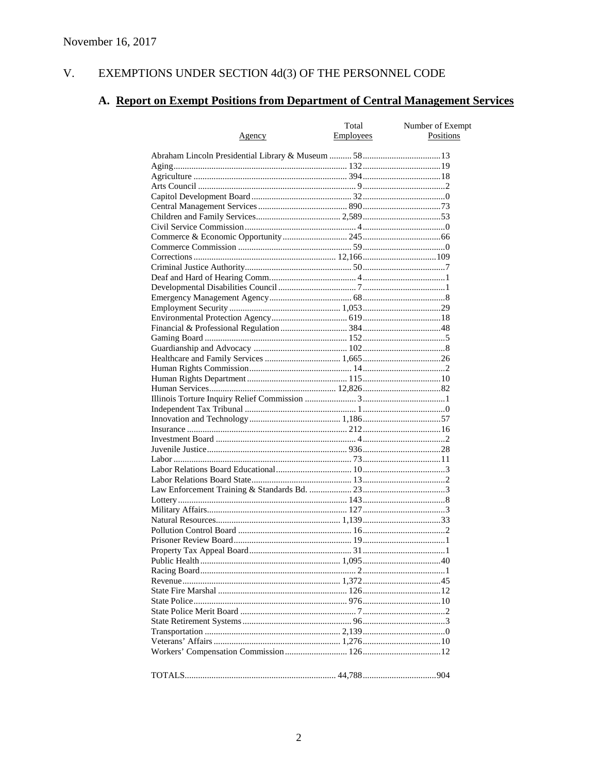#### $V<sub>r</sub>$ EXEMPTIONS UNDER SECTION 4d(3) OF THE PERSONNEL CODE

# A. Report on Exempt Positions from Department of Central Management Services

| <u>Agency</u> | Total<br><b>Employees</b> | Number of Exempt<br>Positions |
|---------------|---------------------------|-------------------------------|
|               |                           |                               |
|               |                           |                               |
|               |                           |                               |
|               |                           |                               |
|               |                           |                               |
|               |                           |                               |
|               |                           |                               |
|               |                           |                               |
|               |                           |                               |
|               |                           |                               |
|               |                           |                               |
|               |                           |                               |
|               |                           |                               |
|               |                           |                               |
|               |                           |                               |
|               |                           |                               |
|               |                           |                               |
|               |                           |                               |
|               |                           |                               |
|               |                           |                               |
|               |                           |                               |
|               |                           |                               |
|               |                           |                               |
|               |                           |                               |
|               |                           |                               |
|               |                           |                               |
|               |                           |                               |
|               |                           |                               |
|               |                           |                               |
|               |                           |                               |
|               |                           |                               |
|               |                           |                               |
|               |                           |                               |
|               |                           |                               |
|               |                           |                               |
|               |                           |                               |
|               |                           |                               |
|               |                           |                               |
|               |                           |                               |
|               |                           |                               |
|               |                           |                               |
|               |                           |                               |
|               |                           |                               |
|               |                           |                               |
|               |                           |                               |
|               |                           |                               |
|               |                           |                               |
|               |                           |                               |
|               |                           |                               |
|               |                           |                               |
|               |                           |                               |
|               |                           |                               |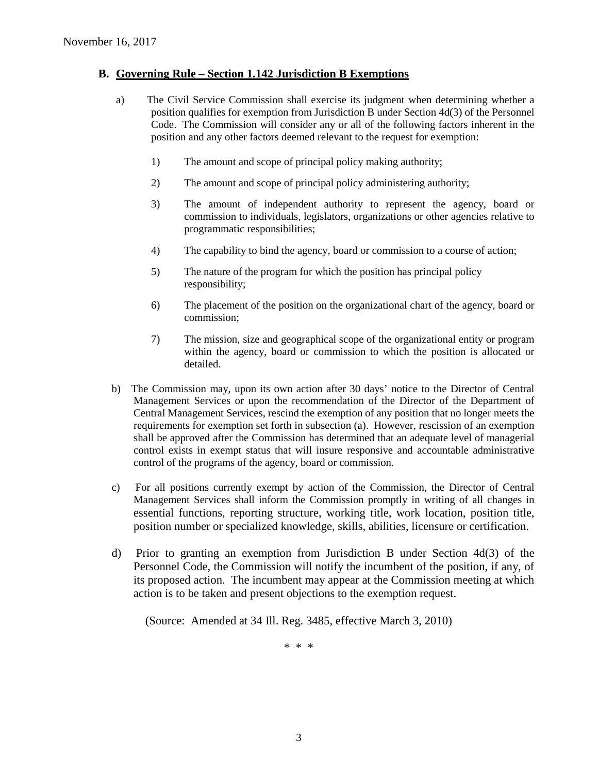#### **B. Governing Rule – Section 1.142 Jurisdiction B Exemptions**

- a) The Civil Service Commission shall exercise its judgment when determining whether a position qualifies for exemption from Jurisdiction B under Section 4d(3) of the Personnel Code. The Commission will consider any or all of the following factors inherent in the position and any other factors deemed relevant to the request for exemption:
	- 1) The amount and scope of principal policy making authority;
	- 2) The amount and scope of principal policy administering authority;
	- 3) The amount of independent authority to represent the agency, board or commission to individuals, legislators, organizations or other agencies relative to programmatic responsibilities;
	- 4) The capability to bind the agency, board or commission to a course of action;
	- 5) The nature of the program for which the position has principal policy responsibility;
	- 6) The placement of the position on the organizational chart of the agency, board or commission;
	- 7) The mission, size and geographical scope of the organizational entity or program within the agency, board or commission to which the position is allocated or detailed.
- b) The Commission may, upon its own action after 30 days' notice to the Director of Central Management Services or upon the recommendation of the Director of the Department of Central Management Services, rescind the exemption of any position that no longer meets the requirements for exemption set forth in subsection (a). However, rescission of an exemption shall be approved after the Commission has determined that an adequate level of managerial control exists in exempt status that will insure responsive and accountable administrative control of the programs of the agency, board or commission.
- c) For all positions currently exempt by action of the Commission, the Director of Central Management Services shall inform the Commission promptly in writing of all changes in essential functions, reporting structure, working title, work location, position title, position number or specialized knowledge, skills, abilities, licensure or certification.
- d) Prior to granting an exemption from Jurisdiction B under Section 4d(3) of the Personnel Code, the Commission will notify the incumbent of the position, if any, of its proposed action. The incumbent may appear at the Commission meeting at which action is to be taken and present objections to the exemption request.

(Source: Amended at 34 Ill. Reg. 3485, effective March 3, 2010)

\* \* \*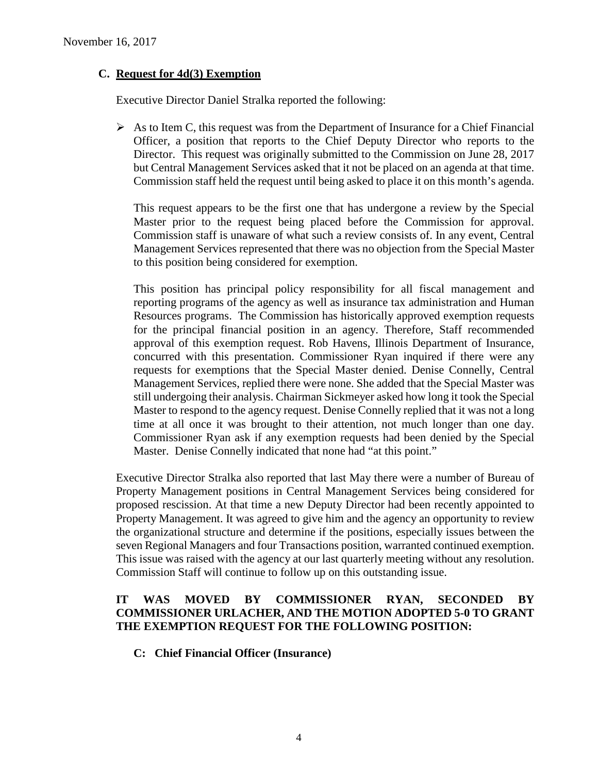## **C. Request for 4d(3) Exemption**

Executive Director Daniel Stralka reported the following:

 $\triangleright$  As to Item C, this request was from the Department of Insurance for a Chief Financial Officer, a position that reports to the Chief Deputy Director who reports to the Director. This request was originally submitted to the Commission on June 28, 2017 but Central Management Services asked that it not be placed on an agenda at that time. Commission staff held the request until being asked to place it on this month's agenda.

This request appears to be the first one that has undergone a review by the Special Master prior to the request being placed before the Commission for approval. Commission staff is unaware of what such a review consists of. In any event, Central Management Services represented that there was no objection from the Special Master to this position being considered for exemption.

This position has principal policy responsibility for all fiscal management and reporting programs of the agency as well as insurance tax administration and Human Resources programs. The Commission has historically approved exemption requests for the principal financial position in an agency. Therefore, Staff recommended approval of this exemption request. Rob Havens, Illinois Department of Insurance, concurred with this presentation. Commissioner Ryan inquired if there were any requests for exemptions that the Special Master denied. Denise Connelly, Central Management Services, replied there were none. She added that the Special Master was still undergoing their analysis. Chairman Sickmeyer asked how long it took the Special Master to respond to the agency request. Denise Connelly replied that it was not a long time at all once it was brought to their attention, not much longer than one day. Commissioner Ryan ask if any exemption requests had been denied by the Special Master. Denise Connelly indicated that none had "at this point."

Executive Director Stralka also reported that last May there were a number of Bureau of Property Management positions in Central Management Services being considered for proposed rescission. At that time a new Deputy Director had been recently appointed to Property Management. It was agreed to give him and the agency an opportunity to review the organizational structure and determine if the positions, especially issues between the seven Regional Managers and four Transactions position, warranted continued exemption. This issue was raised with the agency at our last quarterly meeting without any resolution. Commission Staff will continue to follow up on this outstanding issue.

## **IT WAS MOVED BY COMMISSIONER RYAN, SECONDED BY COMMISSIONER URLACHER, AND THE MOTION ADOPTED 5-0 TO GRANT THE EXEMPTION REQUEST FOR THE FOLLOWING POSITION:**

**C: Chief Financial Officer (Insurance)**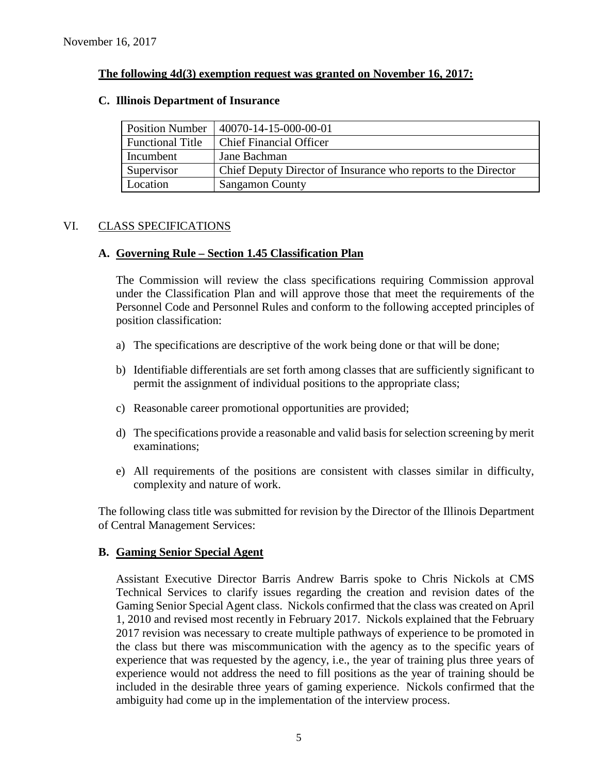### **The following 4d(3) exemption request was granted on November 16, 2017:**

#### **C. Illinois Department of Insurance**

| <b>Position Number</b>  | 40070-14-15-000-00-01                                          |
|-------------------------|----------------------------------------------------------------|
| <b>Functional Title</b> | <b>Chief Financial Officer</b>                                 |
| Incumbent               | Jane Bachman                                                   |
| Supervisor              | Chief Deputy Director of Insurance who reports to the Director |
| Location                | <b>Sangamon County</b>                                         |

## VI. CLASS SPECIFICATIONS

## **A. Governing Rule – Section 1.45 Classification Plan**

The Commission will review the class specifications requiring Commission approval under the Classification Plan and will approve those that meet the requirements of the Personnel Code and Personnel Rules and conform to the following accepted principles of position classification:

- a) The specifications are descriptive of the work being done or that will be done;
- b) Identifiable differentials are set forth among classes that are sufficiently significant to permit the assignment of individual positions to the appropriate class;
- c) Reasonable career promotional opportunities are provided;
- d) The specifications provide a reasonable and valid basis for selection screening by merit examinations;
- e) All requirements of the positions are consistent with classes similar in difficulty, complexity and nature of work.

The following class title was submitted for revision by the Director of the Illinois Department of Central Management Services:

#### **B. Gaming Senior Special Agent**

Assistant Executive Director Barris Andrew Barris spoke to Chris Nickols at CMS Technical Services to clarify issues regarding the creation and revision dates of the Gaming Senior Special Agent class. Nickols confirmed that the class was created on April 1, 2010 and revised most recently in February 2017. Nickols explained that the February 2017 revision was necessary to create multiple pathways of experience to be promoted in the class but there was miscommunication with the agency as to the specific years of experience that was requested by the agency, i.e., the year of training plus three years of experience would not address the need to fill positions as the year of training should be included in the desirable three years of gaming experience. Nickols confirmed that the ambiguity had come up in the implementation of the interview process.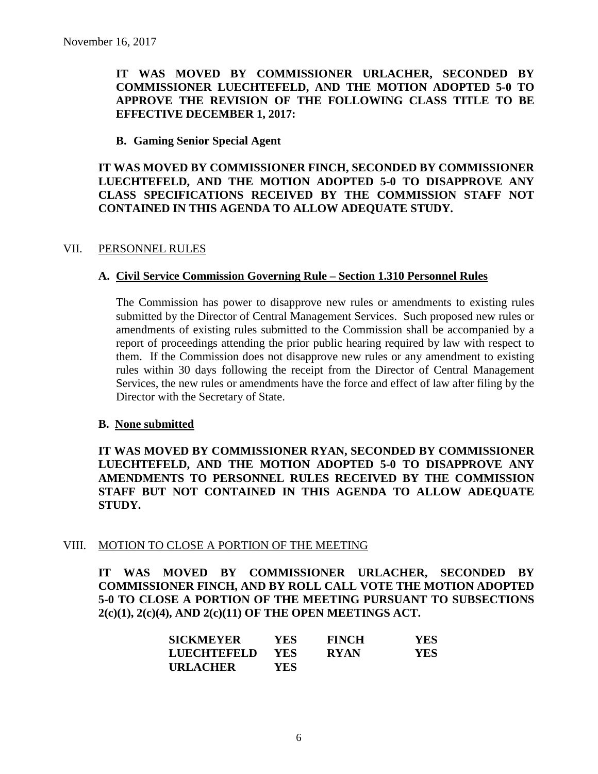## **IT WAS MOVED BY COMMISSIONER URLACHER, SECONDED BY COMMISSIONER LUECHTEFELD, AND THE MOTION ADOPTED 5-0 TO APPROVE THE REVISION OF THE FOLLOWING CLASS TITLE TO BE EFFECTIVE DECEMBER 1, 2017:**

#### **B. Gaming Senior Special Agent**

## **IT WAS MOVED BY COMMISSIONER FINCH, SECONDED BY COMMISSIONER LUECHTEFELD, AND THE MOTION ADOPTED 5-0 TO DISAPPROVE ANY CLASS SPECIFICATIONS RECEIVED BY THE COMMISSION STAFF NOT CONTAINED IN THIS AGENDA TO ALLOW ADEQUATE STUDY.**

#### VII. PERSONNEL RULES

## **A. Civil Service Commission Governing Rule – Section 1.310 Personnel Rules**

The Commission has power to disapprove new rules or amendments to existing rules submitted by the Director of Central Management Services. Such proposed new rules or amendments of existing rules submitted to the Commission shall be accompanied by a report of proceedings attending the prior public hearing required by law with respect to them. If the Commission does not disapprove new rules or any amendment to existing rules within 30 days following the receipt from the Director of Central Management Services, the new rules or amendments have the force and effect of law after filing by the Director with the Secretary of State.

#### **B. None submitted**

**IT WAS MOVED BY COMMISSIONER RYAN, SECONDED BY COMMISSIONER LUECHTEFELD, AND THE MOTION ADOPTED 5-0 TO DISAPPROVE ANY AMENDMENTS TO PERSONNEL RULES RECEIVED BY THE COMMISSION STAFF BUT NOT CONTAINED IN THIS AGENDA TO ALLOW ADEQUATE STUDY.** 

## VIII. MOTION TO CLOSE A PORTION OF THE MEETING

**IT WAS MOVED BY COMMISSIONER URLACHER, SECONDED BY COMMISSIONER FINCH, AND BY ROLL CALL VOTE THE MOTION ADOPTED 5-0 TO CLOSE A PORTION OF THE MEETING PURSUANT TO SUBSECTIONS 2(c)(1), 2(c)(4), AND 2(c)(11) OF THE OPEN MEETINGS ACT.**

| <b>SICKMEYER</b> | YES. | <b>FINCH</b> | YES |
|------------------|------|--------------|-----|
| LUECHTEFELD      | YES. | <b>RYAN</b>  | YES |
| <b>URLACHER</b>  | YES. |              |     |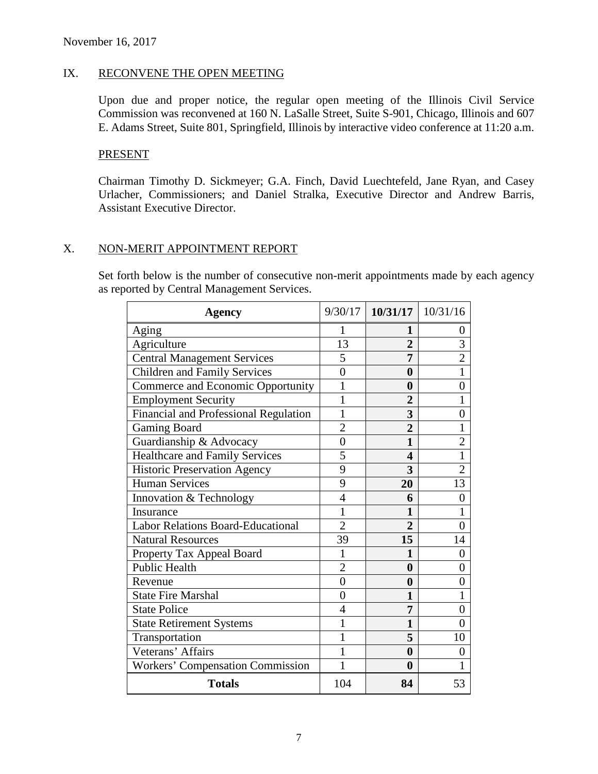## IX. RECONVENE THE OPEN MEETING

Upon due and proper notice, the regular open meeting of the Illinois Civil Service Commission was reconvened at 160 N. LaSalle Street, Suite S-901, Chicago, Illinois and 607 E. Adams Street, Suite 801, Springfield, Illinois by interactive video conference at 11:20 a.m.

#### PRESENT

Chairman Timothy D. Sickmeyer; G.A. Finch, David Luechtefeld, Jane Ryan, and Casey Urlacher, Commissioners; and Daniel Stralka, Executive Director and Andrew Barris, Assistant Executive Director.

## X. NON-MERIT APPOINTMENT REPORT

Set forth below is the number of consecutive non-merit appointments made by each agency as reported by Central Management Services.

| <b>Agency</b>                            |                | $9/30/17$   10/31/17   10/31/16 |                |
|------------------------------------------|----------------|---------------------------------|----------------|
| Aging                                    |                |                                 | 0              |
| Agriculture                              | 13             | $\overline{2}$                  | 3              |
| <b>Central Management Services</b>       | 5              | 7                               | $\overline{2}$ |
| <b>Children and Family Services</b>      | 0              | 0                               |                |
| Commerce and Economic Opportunity        | 1              | $\bf{0}$                        | $\overline{0}$ |
| <b>Employment Security</b>               | 1              | $\overline{2}$                  |                |
| Financial and Professional Regulation    | 1              | 3                               | $\Omega$       |
| <b>Gaming Board</b>                      | $\overline{2}$ | $\overline{2}$                  | 1              |
| Guardianship & Advocacy                  | $\overline{0}$ | 1                               | 2              |
| <b>Healthcare and Family Services</b>    | 5              | 4                               | 1              |
| <b>Historic Preservation Agency</b>      | 9              | 3                               | $\overline{2}$ |
| <b>Human Services</b>                    | 9              | 20                              | 13             |
| Innovation & Technology                  | $\overline{4}$ | 6                               | $\overline{0}$ |
| Insurance                                | 1              | 1                               |                |
| <b>Labor Relations Board-Educational</b> | $\overline{2}$ | $\overline{2}$                  | 0              |
| <b>Natural Resources</b>                 | 39             | 15                              | 14             |
| Property Tax Appeal Board                | 1              | 1                               | $\overline{0}$ |
| <b>Public Health</b>                     | $\overline{2}$ | $\bf{0}$                        | $\Omega$       |
| Revenue                                  | $\overline{0}$ | $\bf{0}$                        | 0              |
| <b>State Fire Marshal</b>                | 0              | 1                               |                |
| <b>State Police</b>                      | $\overline{4}$ | 7                               | 0              |
| <b>State Retirement Systems</b>          | 1              | $\mathbf{1}$                    | $\theta$       |
| Transportation                           |                | 5                               | 10             |
| Veterans' Affairs                        | 1              | $\bf{0}$                        | 0              |
| Workers' Compensation Commission         |                | $\bf{0}$                        |                |
| <b>Totals</b>                            | 104            | 84                              | 53             |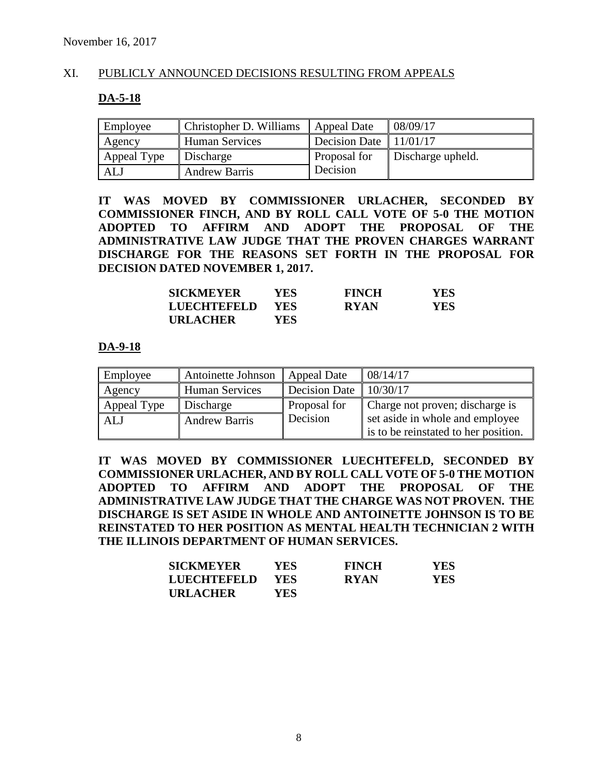## XI. PUBLICLY ANNOUNCED DECISIONS RESULTING FROM APPEALS

#### **DA-5-18**

| Employee    | Christopher D. Williams | <b>Appeal Date</b>       | 08/09/17          |
|-------------|-------------------------|--------------------------|-------------------|
| Agency      | <b>Human Services</b>   | Decision Date $11/01/17$ |                   |
| Appeal Type | Discharge               | Proposal for             | Discharge upheld. |
| ALJ         | <b>Andrew Barris</b>    | Decision                 |                   |

**IT WAS MOVED BY COMMISSIONER URLACHER, SECONDED BY COMMISSIONER FINCH, AND BY ROLL CALL VOTE OF 5-0 THE MOTION ADOPTED TO AFFIRM AND ADOPT THE PROPOSAL OF THE ADMINISTRATIVE LAW JUDGE THAT THE PROVEN CHARGES WARRANT DISCHARGE FOR THE REASONS SET FORTH IN THE PROPOSAL FOR DECISION DATED NOVEMBER 1, 2017.**

| <b>SICKMEYER</b> | YES. | <b>FINCH</b> | YES |
|------------------|------|--------------|-----|
| LUECHTEFELD      | YES. | <b>RYAN</b>  | YES |
| <b>URLACHER</b>  | YES. |              |     |

#### **DA-9-18**

| Employee    | Antoinette Johnson    | Appeal Date          | 08/14/17                             |
|-------------|-----------------------|----------------------|--------------------------------------|
| Agency      | <b>Human Services</b> | <b>Decision Date</b> | 10/30/17                             |
| Appeal Type | Discharge             | Proposal for         | Charge not proven; discharge is      |
| ALJ         | <b>Andrew Barris</b>  | Decision             | set aside in whole and employee      |
|             |                       |                      | is to be reinstated to her position. |

**IT WAS MOVED BY COMMISSIONER LUECHTEFELD, SECONDED BY COMMISSIONER URLACHER, AND BY ROLL CALL VOTE OF 5-0 THE MOTION ADOPTED TO AFFIRM AND ADOPT THE PROPOSAL OF THE ADMINISTRATIVE LAW JUDGE THAT THE CHARGE WAS NOT PROVEN. THE DISCHARGE IS SET ASIDE IN WHOLE AND ANTOINETTE JOHNSON IS TO BE REINSTATED TO HER POSITION AS MENTAL HEALTH TECHNICIAN 2 WITH THE ILLINOIS DEPARTMENT OF HUMAN SERVICES.**

| <b>SICKMEYER</b> | YES.       | <b>FINCH</b> | YES. |
|------------------|------------|--------------|------|
| LUECHTEFELD      | <b>YES</b> | <b>RYAN</b>  | YES. |
| <b>URLACHER</b>  | YES.       |              |      |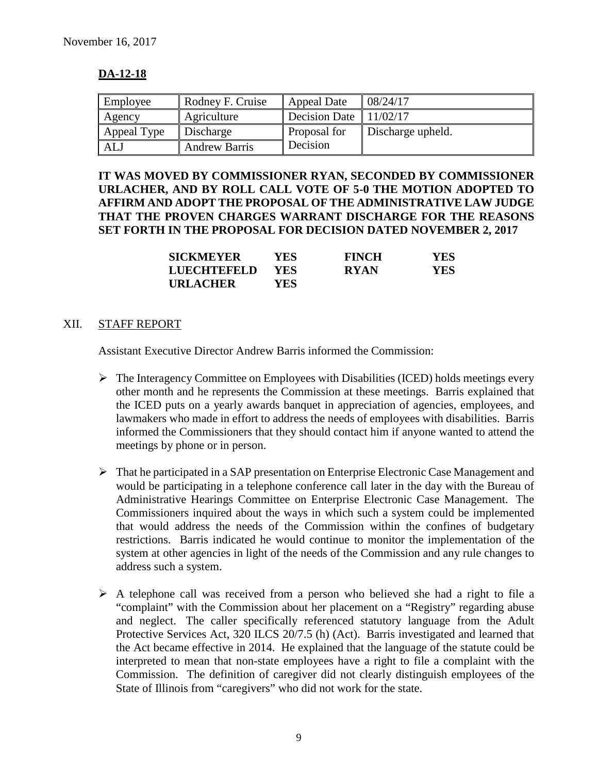## **DA-12-18**

| Employee    | Rodney F. Cruise     | Appeal Date   | 08/24/17          |
|-------------|----------------------|---------------|-------------------|
| Agency      | Agriculture          | Decision Date | 11/02/17          |
| Appeal Type | Discharge            | Proposal for  | Discharge upheld. |
| ALJ         | <b>Andrew Barris</b> | Decision      |                   |

## **IT WAS MOVED BY COMMISSIONER RYAN, SECONDED BY COMMISSIONER URLACHER, AND BY ROLL CALL VOTE OF 5-0 THE MOTION ADOPTED TO AFFIRM AND ADOPT THE PROPOSAL OF THE ADMINISTRATIVE LAW JUDGE THAT THE PROVEN CHARGES WARRANT DISCHARGE FOR THE REASONS SET FORTH IN THE PROPOSAL FOR DECISION DATED NOVEMBER 2, 2017**

| <b>SICKMEYER</b> | <b>YES</b> | <b>FINCH</b> | <b>YES</b> |
|------------------|------------|--------------|------------|
| LUECHTEFELD      | <b>YES</b> | <b>RYAN</b>  | YES        |
| <b>URLACHER</b>  | YES.       |              |            |

#### XII. STAFF REPORT

Assistant Executive Director Andrew Barris informed the Commission:

- $\triangleright$  The Interagency Committee on Employees with Disabilities (ICED) holds meetings every other month and he represents the Commission at these meetings. Barris explained that the ICED puts on a yearly awards banquet in appreciation of agencies, employees, and lawmakers who made in effort to address the needs of employees with disabilities. Barris informed the Commissioners that they should contact him if anyone wanted to attend the meetings by phone or in person.
- $\triangleright$  That he participated in a SAP presentation on Enterprise Electronic Case Management and would be participating in a telephone conference call later in the day with the Bureau of Administrative Hearings Committee on Enterprise Electronic Case Management. The Commissioners inquired about the ways in which such a system could be implemented that would address the needs of the Commission within the confines of budgetary restrictions. Barris indicated he would continue to monitor the implementation of the system at other agencies in light of the needs of the Commission and any rule changes to address such a system.
- $\triangleright$  A telephone call was received from a person who believed she had a right to file a "complaint" with the Commission about her placement on a "Registry" regarding abuse and neglect. The caller specifically referenced statutory language from the Adult Protective Services Act, 320 ILCS 20/7.5 (h) (Act). Barris investigated and learned that the Act became effective in 2014. He explained that the language of the statute could be interpreted to mean that non-state employees have a right to file a complaint with the Commission. The definition of caregiver did not clearly distinguish employees of the State of Illinois from "caregivers" who did not work for the state.